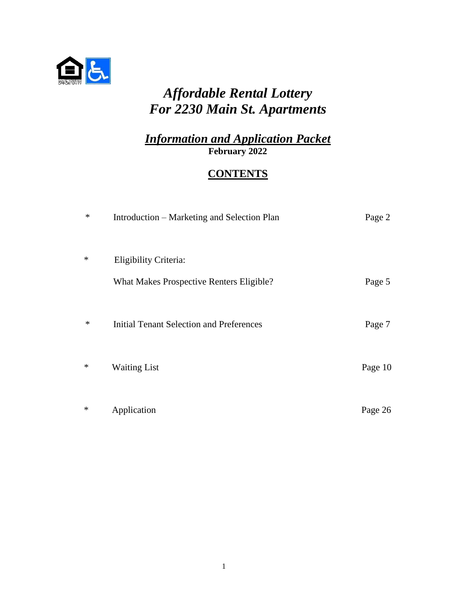

# *Affordable Rental Lottery For 2230 Main St. Apartments*

# *Information and Application Packet* **February 2022**

# **CONTENTS**

| $\ast$ | Introduction – Marketing and Selection Plan                       | Page 2  |
|--------|-------------------------------------------------------------------|---------|
| $\ast$ | Eligibility Criteria:<br>What Makes Prospective Renters Eligible? | Page 5  |
| $\ast$ | <b>Initial Tenant Selection and Preferences</b>                   | Page 7  |
| $\ast$ | <b>Waiting List</b>                                               | Page 10 |
| $\ast$ | Application                                                       | Page 26 |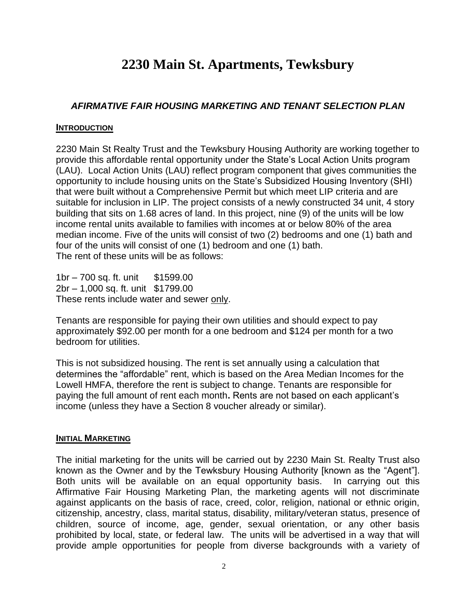# **2230 Main St. Apartments, Tewksbury**

# *AFIRMATIVE FAIR HOUSING MARKETING AND TENANT SELECTION PLAN*

#### **INTRODUCTION**

2230 Main St Realty Trust and the Tewksbury Housing Authority are working together to provide this affordable rental opportunity under the State's Local Action Units program (LAU). Local Action Units (LAU) reflect program component that gives communities the opportunity to include housing units on the State's Subsidized Housing Inventory (SHI) that were built without a Comprehensive Permit but which meet LIP criteria and are suitable for inclusion in LIP. The project consists of a newly constructed 34 unit, 4 story building that sits on 1.68 acres of land. In this project, nine (9) of the units will be low income rental units available to families with incomes at or below 80% of the area median income. Five of the units will consist of two (2) bedrooms and one (1) bath and four of the units will consist of one (1) bedroom and one (1) bath. The rent of these units will be as follows:

1br – 700 sq. ft. unit \$1599.00 2br – 1,000 sq. ft. unit \$1799.00 These rents include water and sewer only.

Tenants are responsible for paying their own utilities and should expect to pay approximately \$92.00 per month for a one bedroom and \$124 per month for a two bedroom for utilities.

This is not subsidized housing. The rent is set annually using a calculation that determines the "affordable" rent, which is based on the Area Median Incomes for the Lowell HMFA, therefore the rent is subject to change. Tenants are responsible for paying the full amount of rent each month**.** Rents are not based on each applicant's income (unless they have a Section 8 voucher already or similar).

#### **INITIAL MARKETING**

The initial marketing for the units will be carried out by 2230 Main St. Realty Trust also known as the Owner and by the Tewksbury Housing Authority [known as the "Agent"]. Both units will be available on an equal opportunity basis. In carrying out this Affirmative Fair Housing Marketing Plan, the marketing agents will not discriminate against applicants on the basis of race, creed, color, religion, national or ethnic origin, citizenship, ancestry, class, marital status, disability, military/veteran status, presence of children, source of income, age, gender, sexual orientation, or any other basis prohibited by local, state, or federal law. The units will be advertised in a way that will provide ample opportunities for people from diverse backgrounds with a variety of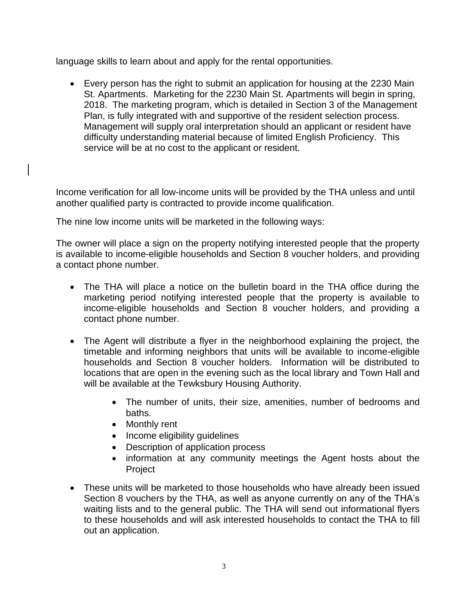language skills to learn about and apply for the rental opportunities.

• Every person has the right to submit an application for housing at the 2230 Main St. Apartments. Marketing for the 2230 Main St. Apartments will begin in spring, 2018. The marketing program, which is detailed in Section 3 of the Management Plan, is fully integrated with and supportive of the resident selection process. Management will supply oral interpretation should an applicant or resident have difficulty understanding material because of limited English Proficiency. This service will be at no cost to the applicant or resident.

Income verification for all low-income units will be provided by the THA unless and until another qualified party is contracted to provide income qualification.

The nine low income units will be marketed in the following ways:

The owner will place a sign on the property notifying interested people that the property is available to income-eligible households and Section 8 voucher holders, and providing a contact phone number.

- The THA will place a notice on the bulletin board in the THA office during the marketing period notifying interested people that the property is available to income-eligible households and Section 8 voucher holders, and providing a contact phone number.
- The Agent will distribute a flyer in the neighborhood explaining the project, the timetable and informing neighbors that units will be available to income-eligible households and Section 8 voucher holders. Information will be distributed to locations that are open in the evening such as the local library and Town Hall and will be available at the Tewksbury Housing Authority.
	- The number of units, their size, amenities, number of bedrooms and baths.
	- Monthly rent
	- Income eligibility guidelines
	- Description of application process
	- information at any community meetings the Agent hosts about the Project
- These units will be marketed to those households who have already been issued Section 8 vouchers by the THA, as well as anyone currently on any of the THA's waiting lists and to the general public. The THA will send out informational flyers to these households and will ask interested households to contact the THA to fill out an application.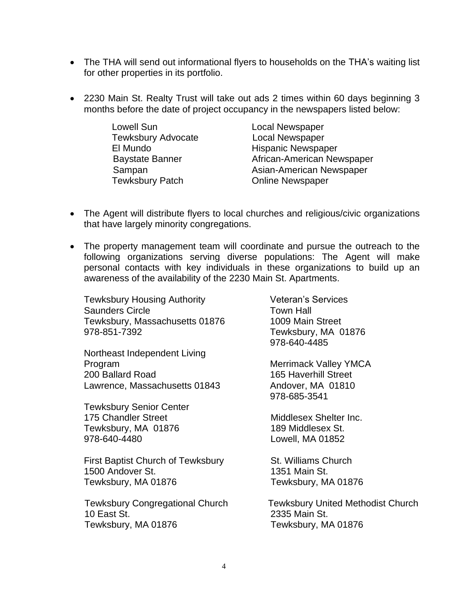- The THA will send out informational flyers to households on the THA's waiting list for other properties in its portfolio.
- 2230 Main St. Realty Trust will take out ads 2 times within 60 days beginning 3 months before the date of project occupancy in the newspapers listed below:

Lowell Sun **Local Newspaper** Tewksbury Advocate Local Newspaper Tewksbury Patch **Charles** Online Newspaper

El Mundo Hispanic Newspaper Baystate Banner **African-American Newspaper** Sampan **Asian-American Newspaper** Asian-American Newspaper

- The Agent will distribute flyers to local churches and religious/civic organizations that have largely minority congregations.
- The property management team will coordinate and pursue the outreach to the following organizations serving diverse populations: The Agent will make personal contacts with key individuals in these organizations to build up an awareness of the availability of the 2230 Main St. Apartments.

Tewksbury Housing Authority Saunders Circle Tewksbury, Massachusetts 01876 978-851-7392

Northeast Independent Living Program 200 Ballard Road Lawrence, Massachusetts 01843

Tewksbury Senior Center 175 Chandler Street Tewksbury, MA 01876 978-640-4480

First Baptist Church of Tewksbury 1500 Andover St. Tewksbury, MA 01876

 Tewksbury Congregational Church 10 East St. Tewksbury, MA 01876

Veteran's Services Town Hall 1009 Main Street Tewksbury, MA 01876 978-640-4485

Merrimack Valley YMCA 165 Haverhill Street Andover, MA 01810 978-685-3541

 Middlesex Shelter Inc. 189 Middlesex St. Lowell, MA 01852

 St. Williams Church 1351 Main St. Tewksbury, MA 01876

 Tewksbury United Methodist Church 2335 Main St. Tewksbury, MA 01876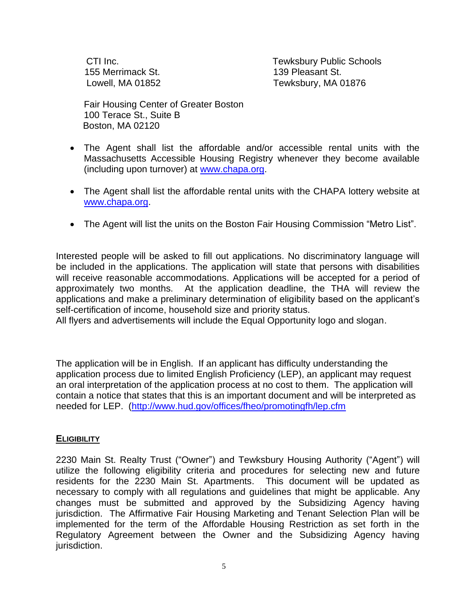CTI Inc. 155 Merrimack St. Lowell, MA 01852 Tewksbury Public Schools 139 Pleasant St. Tewksbury, MA 01876

Fair Housing Center of Greater Boston 100 Terace St., Suite B Boston, MA 02120

- The Agent shall list the affordable and/or accessible rental units with the Massachusetts Accessible Housing Registry whenever they become available (including upon turnover) at [www.chapa.org.](http://www.chapa.org/)
- The Agent shall list the affordable rental units with the CHAPA lottery website at [www.chapa.org.](http://www.chapa.org/)
- The Agent will list the units on the Boston Fair Housing Commission "Metro List".

Interested people will be asked to fill out applications. No discriminatory language will be included in the applications. The application will state that persons with disabilities will receive reasonable accommodations. Applications will be accepted for a period of approximately two months. At the application deadline, the THA will review the applications and make a preliminary determination of eligibility based on the applicant's self-certification of income, household size and priority status.

All flyers and advertisements will include the Equal Opportunity logo and slogan.

The application will be in English. If an applicant has difficulty understanding the application process due to limited English Proficiency (LEP), an applicant may request an oral interpretation of the application process at no cost to them. The application will contain a notice that states that this is an important document and will be interpreted as needed for LEP. [\(http://www.hud.gov/offices/fheo/promotingfh/lep.cfm](http://www.hud.gov/offices/fheo/promotingfh/lep.cfm)

#### **ELIGIBILITY**

2230 Main St. Realty Trust ("Owner") and Tewksbury Housing Authority ("Agent") will utilize the following eligibility criteria and procedures for selecting new and future residents for the 2230 Main St. Apartments. This document will be updated as necessary to comply with all regulations and guidelines that might be applicable. Any changes must be submitted and approved by the Subsidizing Agency having jurisdiction. The Affirmative Fair Housing Marketing and Tenant Selection Plan will be implemented for the term of the Affordable Housing Restriction as set forth in the Regulatory Agreement between the Owner and the Subsidizing Agency having jurisdiction.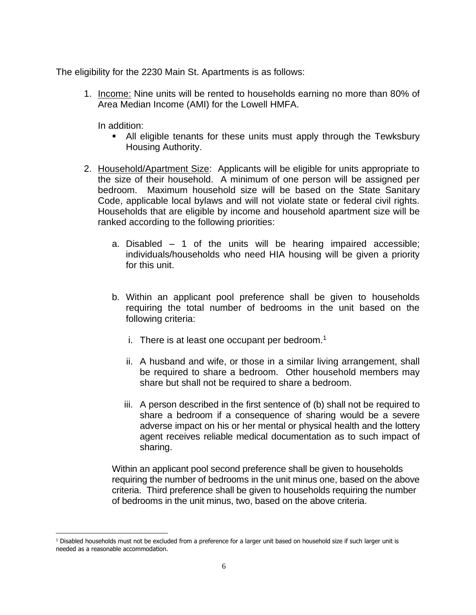The eligibility for the 2230 Main St. Apartments is as follows:

1. Income: Nine units will be rented to households earning no more than 80% of Area Median Income (AMI) for the Lowell HMFA.

In addition:

- All eligible tenants for these units must apply through the Tewksbury Housing Authority.
- 2. Household/Apartment Size: Applicants will be eligible for units appropriate to the size of their household. A minimum of one person will be assigned per bedroom. Maximum household size will be based on the State Sanitary Code, applicable local bylaws and will not violate state or federal civil rights. Households that are eligible by income and household apartment size will be ranked according to the following priorities:
	- a. Disabled  $-1$  of the units will be hearing impaired accessible; individuals/households who need HIA housing will be given a priority for this unit.
	- b. Within an applicant pool preference shall be given to households requiring the total number of bedrooms in the unit based on the following criteria:
		- i. There is at least one occupant per bedroom.<sup>1</sup>
		- ii. A husband and wife, or those in a similar living arrangement, shall be required to share a bedroom. Other household members may share but shall not be required to share a bedroom.
		- iii. A person described in the first sentence of (b) shall not be required to share a bedroom if a consequence of sharing would be a severe adverse impact on his or her mental or physical health and the lottery agent receives reliable medical documentation as to such impact of sharing.

Within an applicant pool second preference shall be given to households requiring the number of bedrooms in the unit minus one, based on the above criteria. Third preference shall be given to households requiring the number of bedrooms in the unit minus, two, based on the above criteria.

 $1$  Disabled households must not be excluded from a preference for a larger unit based on household size if such larger unit is needed as a reasonable accommodation.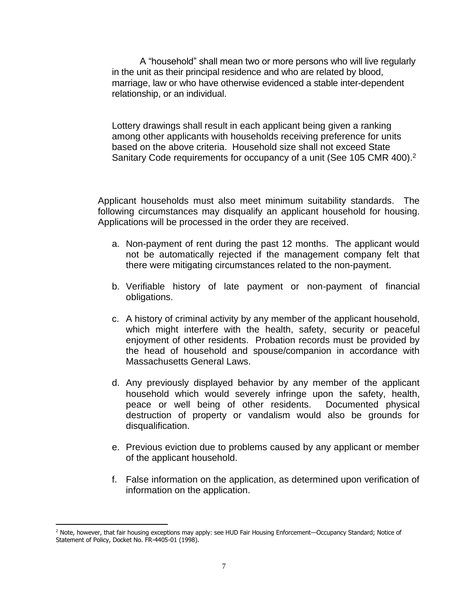A "household" shall mean two or more persons who will live regularly in the unit as their principal residence and who are related by blood, marriage, law or who have otherwise evidenced a stable inter-dependent relationship, or an individual.

Lottery drawings shall result in each applicant being given a ranking among other applicants with households receiving preference for units based on the above criteria.Household size shall not exceed State Sanitary Code requirements for occupancy of a unit (See 105 CMR 400).<sup>2</sup>

Applicant households must also meet minimum suitability standards. The following circumstances may disqualify an applicant household for housing. Applications will be processed in the order they are received.

- a. Non-payment of rent during the past 12 months. The applicant would not be automatically rejected if the management company felt that there were mitigating circumstances related to the non-payment.
- b. Verifiable history of late payment or non-payment of financial obligations.
- c. A history of criminal activity by any member of the applicant household, which might interfere with the health, safety, security or peaceful enjoyment of other residents. Probation records must be provided by the head of household and spouse/companion in accordance with Massachusetts General Laws.
- d. Any previously displayed behavior by any member of the applicant household which would severely infringe upon the safety, health, peace or well being of other residents. Documented physical destruction of property or vandalism would also be grounds for disqualification.
- e. Previous eviction due to problems caused by any applicant or member of the applicant household.
- f. False information on the application, as determined upon verification of information on the application.

<sup>&</sup>lt;sup>2</sup> Note, however, that fair housing exceptions may apply: see HUD Fair Housing Enforcement—Occupancy Standard; Notice of Statement of Policy, Docket No. FR-4405-01 (1998).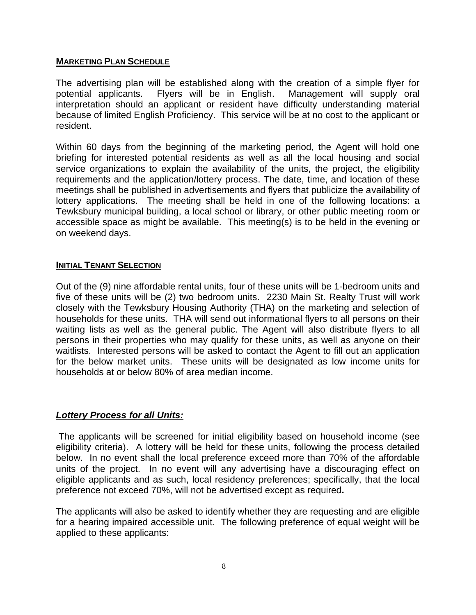#### **MARKETING PLAN SCHEDULE**

The advertising plan will be established along with the creation of a simple flyer for potential applicants. Flyers will be in English. Management will supply oral interpretation should an applicant or resident have difficulty understanding material because of limited English Proficiency. This service will be at no cost to the applicant or resident.

Within 60 days from the beginning of the marketing period, the Agent will hold one briefing for interested potential residents as well as all the local housing and social service organizations to explain the availability of the units, the project, the eligibility requirements and the application/lottery process. The date, time, and location of these meetings shall be published in advertisements and flyers that publicize the availability of lottery applications. The meeting shall be held in one of the following locations: a Tewksbury municipal building, a local school or library, or other public meeting room or accessible space as might be available. This meeting(s) is to be held in the evening or on weekend days.

#### **INITIAL TENANT SELECTION**

Out of the (9) nine affordable rental units, four of these units will be 1-bedroom units and five of these units will be (2) two bedroom units. 2230 Main St. Realty Trust will work closely with the Tewksbury Housing Authority (THA) on the marketing and selection of households for these units. THA will send out informational flyers to all persons on their waiting lists as well as the general public. The Agent will also distribute flyers to all persons in their properties who may qualify for these units, as well as anyone on their waitlists. Interested persons will be asked to contact the Agent to fill out an application for the below market units. These units will be designated as low income units for households at or below 80% of area median income.

#### *Lottery Process for all Units:*

The applicants will be screened for initial eligibility based on household income (see eligibility criteria). A lottery will be held for these units, following the process detailed below. In no event shall the local preference exceed more than 70% of the affordable units of the project. In no event will any advertising have a discouraging effect on eligible applicants and as such, local residency preferences; specifically, that the local preference not exceed 70%, will not be advertised except as required**.** 

The applicants will also be asked to identify whether they are requesting and are eligible for a hearing impaired accessible unit. The following preference of equal weight will be applied to these applicants: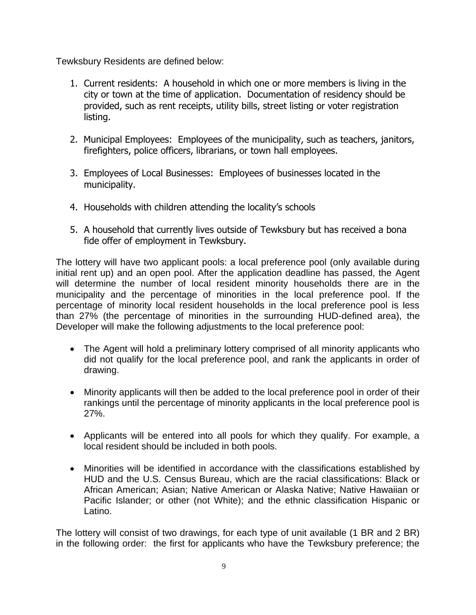Tewksbury Residents are defined below:

- 1. Current residents: A household in which one or more members is living in the city or town at the time of application. Documentation of residency should be provided, such as rent receipts, utility bills, street listing or voter registration listing.
- 2. Municipal Employees: Employees of the municipality, such as teachers, janitors, firefighters, police officers, librarians, or town hall employees.
- 3. Employees of Local Businesses: Employees of businesses located in the municipality.
- 4. Households with children attending the locality's schools
- 5. A household that currently lives outside of Tewksbury but has received a bona fide offer of employment in Tewksbury.

The lottery will have two applicant pools: a local preference pool (only available during initial rent up) and an open pool. After the application deadline has passed, the Agent will determine the number of local resident minority households there are in the municipality and the percentage of minorities in the local preference pool. If the percentage of minority local resident households in the local preference pool is less than 27% (the percentage of minorities in the surrounding HUD-defined area), the Developer will make the following adjustments to the local preference pool:

- The Agent will hold a preliminary lottery comprised of all minority applicants who did not qualify for the local preference pool, and rank the applicants in order of drawing.
- Minority applicants will then be added to the local preference pool in order of their rankings until the percentage of minority applicants in the local preference pool is 27%.
- Applicants will be entered into all pools for which they qualify. For example, a local resident should be included in both pools.
- Minorities will be identified in accordance with the classifications established by HUD and the U.S. Census Bureau, which are the racial classifications: Black or African American; Asian; Native American or Alaska Native; Native Hawaiian or Pacific Islander; or other (not White); and the ethnic classification Hispanic or Latino.

The lottery will consist of two drawings, for each type of unit available (1 BR and 2 BR) in the following order: the first for applicants who have the Tewksbury preference; the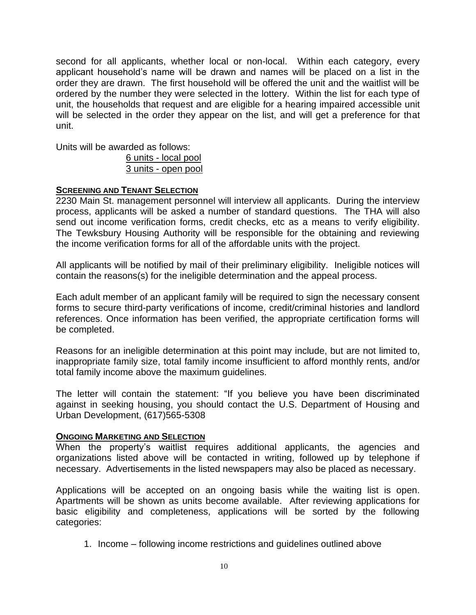second for all applicants, whether local or non-local. Within each category, every applicant household's name will be drawn and names will be placed on a list in the order they are drawn. The first household will be offered the unit and the waitlist will be ordered by the number they were selected in the lottery. Within the list for each type of unit, the households that request and are eligible for a hearing impaired accessible unit will be selected in the order they appear on the list, and will get a preference for that unit.

Units will be awarded as follows:

6 units - local pool 3 units - open pool

#### **SCREENING AND TENANT SELECTION**

2230 Main St. management personnel will interview all applicants. During the interview process, applicants will be asked a number of standard questions. The THA will also send out income verification forms, credit checks, etc as a means to verify eligibility. The Tewksbury Housing Authority will be responsible for the obtaining and reviewing the income verification forms for all of the affordable units with the project.

All applicants will be notified by mail of their preliminary eligibility. Ineligible notices will contain the reasons(s) for the ineligible determination and the appeal process.

Each adult member of an applicant family will be required to sign the necessary consent forms to secure third-party verifications of income, credit/criminal histories and landlord references. Once information has been verified, the appropriate certification forms will be completed.

Reasons for an ineligible determination at this point may include, but are not limited to, inappropriate family size, total family income insufficient to afford monthly rents, and/or total family income above the maximum guidelines.

The letter will contain the statement: "If you believe you have been discriminated against in seeking housing, you should contact the U.S. Department of Housing and Urban Development, (617)565-5308

#### **ONGOING MARKETING AND SELECTION**

When the property's waitlist requires additional applicants, the agencies and organizations listed above will be contacted in writing, followed up by telephone if necessary. Advertisements in the listed newspapers may also be placed as necessary.

Applications will be accepted on an ongoing basis while the waiting list is open. Apartments will be shown as units become available. After reviewing applications for basic eligibility and completeness, applications will be sorted by the following categories:

1. Income – following income restrictions and guidelines outlined above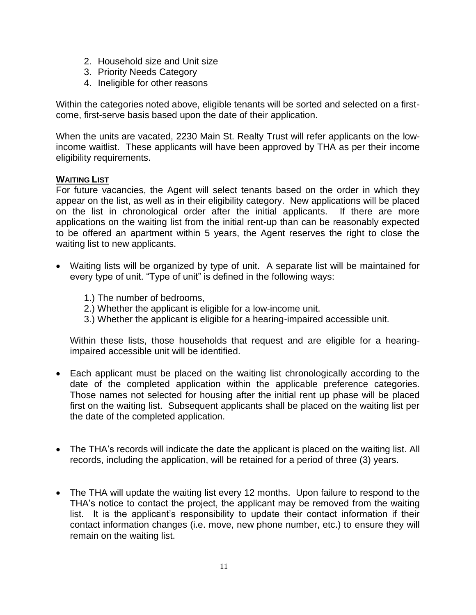- 2. Household size and Unit size
- 3. Priority Needs Category
- 4. Ineligible for other reasons

Within the categories noted above, eligible tenants will be sorted and selected on a firstcome, first-serve basis based upon the date of their application.

When the units are vacated, 2230 Main St. Realty Trust will refer applicants on the lowincome waitlist. These applicants will have been approved by THA as per their income eligibility requirements.

#### **WAITING LIST**

For future vacancies, the Agent will select tenants based on the order in which they appear on the list, as well as in their eligibility category. New applications will be placed on the list in chronological order after the initial applicants. If there are more applications on the waiting list from the initial rent-up than can be reasonably expected to be offered an apartment within 5 years, the Agent reserves the right to close the waiting list to new applicants.

- Waiting lists will be organized by type of unit. A separate list will be maintained for every type of unit. "Type of unit" is defined in the following ways:
	- 1.) The number of bedrooms,
	- 2.) Whether the applicant is eligible for a low-income unit.
	- 3.) Whether the applicant is eligible for a hearing-impaired accessible unit.

Within these lists, those households that request and are eligible for a hearingimpaired accessible unit will be identified.

- Each applicant must be placed on the waiting list chronologically according to the date of the completed application within the applicable preference categories. Those names not selected for housing after the initial rent up phase will be placed first on the waiting list. Subsequent applicants shall be placed on the waiting list per the date of the completed application.
- The THA's records will indicate the date the applicant is placed on the waiting list. All records, including the application, will be retained for a period of three (3) years.
- The THA will update the waiting list every 12 months. Upon failure to respond to the THA's notice to contact the project, the applicant may be removed from the waiting list. It is the applicant's responsibility to update their contact information if their contact information changes (i.e. move, new phone number, etc.) to ensure they will remain on the waiting list.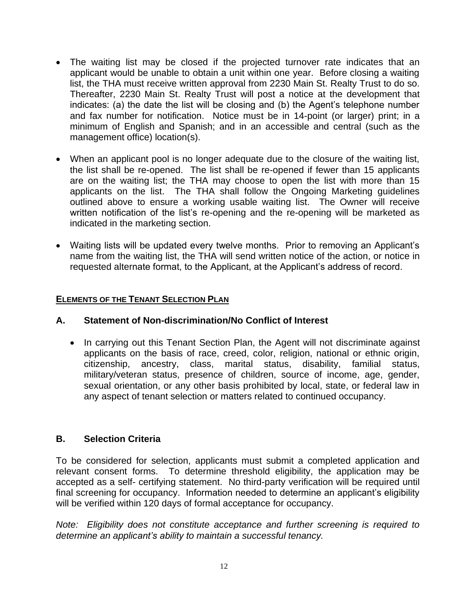- The waiting list may be closed if the projected turnover rate indicates that an applicant would be unable to obtain a unit within one year. Before closing a waiting list, the THA must receive written approval from 2230 Main St. Realty Trust to do so. Thereafter, 2230 Main St. Realty Trust will post a notice at the development that indicates: (a) the date the list will be closing and (b) the Agent's telephone number and fax number for notification. Notice must be in 14-point (or larger) print; in a minimum of English and Spanish; and in an accessible and central (such as the management office) location(s).
- When an applicant pool is no longer adequate due to the closure of the waiting list, the list shall be re-opened. The list shall be re-opened if fewer than 15 applicants are on the waiting list; the THA may choose to open the list with more than 15 applicants on the list. The THA shall follow the Ongoing Marketing guidelines outlined above to ensure a working usable waiting list. The Owner will receive written notification of the list's re-opening and the re-opening will be marketed as indicated in the marketing section.
- Waiting lists will be updated every twelve months. Prior to removing an Applicant's name from the waiting list, the THA will send written notice of the action, or notice in requested alternate format, to the Applicant, at the Applicant's address of record.

#### **ELEMENTS OF THE TENANT SELECTION PLAN**

#### **A. Statement of Non-discrimination/No Conflict of Interest**

• In carrying out this Tenant Section Plan, the Agent will not discriminate against applicants on the basis of race, creed, color, religion, national or ethnic origin, citizenship, ancestry, class, marital status, disability, familial status, military/veteran status, presence of children, source of income, age, gender, sexual orientation, or any other basis prohibited by local, state, or federal law in any aspect of tenant selection or matters related to continued occupancy.

# **B. Selection Criteria**

To be considered for selection, applicants must submit a completed application and relevant consent forms. To determine threshold eligibility, the application may be accepted as a self- certifying statement. No third-party verification will be required until final screening for occupancy. Information needed to determine an applicant's eligibility will be verified within 120 days of formal acceptance for occupancy.

*Note: Eligibility does not constitute acceptance and further screening is required to determine an applicant's ability to maintain a successful tenancy.*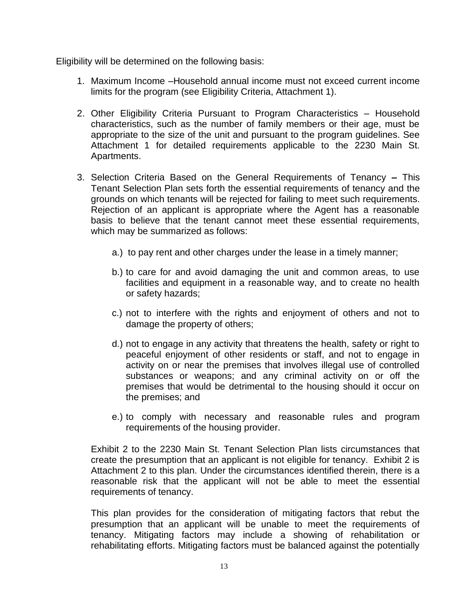Eligibility will be determined on the following basis:

- 1. Maximum Income –Household annual income must not exceed current income limits for the program (see Eligibility Criteria, Attachment 1).
- 2. Other Eligibility Criteria Pursuant to Program Characteristics Household characteristics, such as the number of family members or their age, must be appropriate to the size of the unit and pursuant to the program guidelines. See Attachment 1 for detailed requirements applicable to the 2230 Main St. Apartments.
- 3. Selection Criteria Based on the General Requirements of Tenancy **–** This Tenant Selection Plan sets forth the essential requirements of tenancy and the grounds on which tenants will be rejected for failing to meet such requirements. Rejection of an applicant is appropriate where the Agent has a reasonable basis to believe that the tenant cannot meet these essential requirements, which may be summarized as follows:
	- a.) to pay rent and other charges under the lease in a timely manner;
	- b.) to care for and avoid damaging the unit and common areas, to use facilities and equipment in a reasonable way, and to create no health or safety hazards;
	- c.) not to interfere with the rights and enjoyment of others and not to damage the property of others;
	- d.) not to engage in any activity that threatens the health, safety or right to peaceful enjoyment of other residents or staff, and not to engage in activity on or near the premises that involves illegal use of controlled substances or weapons; and any criminal activity on or off the premises that would be detrimental to the housing should it occur on the premises; and
	- e.) to comply with necessary and reasonable rules and program requirements of the housing provider.

Exhibit 2 to the 2230 Main St. Tenant Selection Plan lists circumstances that create the presumption that an applicant is not eligible for tenancy. Exhibit 2 is Attachment 2 to this plan. Under the circumstances identified therein, there is a reasonable risk that the applicant will not be able to meet the essential requirements of tenancy.

This plan provides for the consideration of mitigating factors that rebut the presumption that an applicant will be unable to meet the requirements of tenancy. Mitigating factors may include a showing of rehabilitation or rehabilitating efforts. Mitigating factors must be balanced against the potentially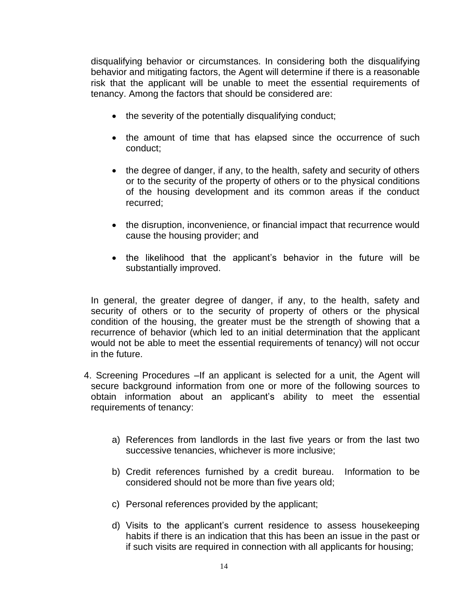disqualifying behavior or circumstances. In considering both the disqualifying behavior and mitigating factors, the Agent will determine if there is a reasonable risk that the applicant will be unable to meet the essential requirements of tenancy. Among the factors that should be considered are:

- the severity of the potentially disqualifying conduct;
- the amount of time that has elapsed since the occurrence of such conduct;
- the degree of danger, if any, to the health, safety and security of others or to the security of the property of others or to the physical conditions of the housing development and its common areas if the conduct recurred;
- the disruption, inconvenience, or financial impact that recurrence would cause the housing provider; and
- the likelihood that the applicant's behavior in the future will be substantially improved.

In general, the greater degree of danger, if any, to the health, safety and security of others or to the security of property of others or the physical condition of the housing, the greater must be the strength of showing that a recurrence of behavior (which led to an initial determination that the applicant would not be able to meet the essential requirements of tenancy) will not occur in the future.

- 4. Screening Procedures –If an applicant is selected for a unit, the Agent will secure background information from one or more of the following sources to obtain information about an applicant's ability to meet the essential requirements of tenancy:
	- a) References from landlords in the last five years or from the last two successive tenancies, whichever is more inclusive;
	- b) Credit references furnished by a credit bureau. Information to be considered should not be more than five years old;
	- c) Personal references provided by the applicant;
	- d) Visits to the applicant's current residence to assess housekeeping habits if there is an indication that this has been an issue in the past or if such visits are required in connection with all applicants for housing;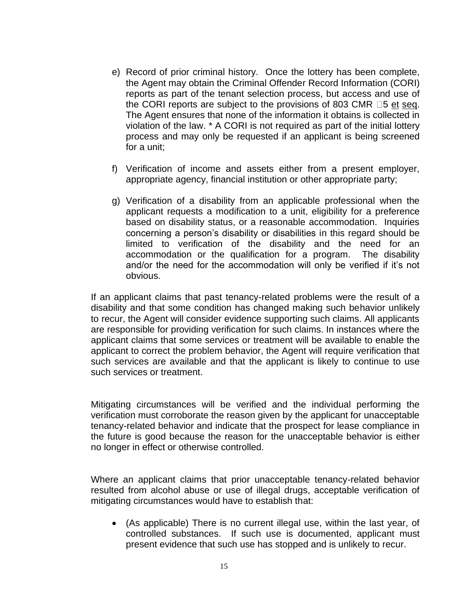- e) Record of prior criminal history. Once the lottery has been complete, the Agent may obtain the Criminal Offender Record Information (CORI) reports as part of the tenant selection process, but access and use of the CORI reports are subject to the provisions of 803 CMR  $\square$ 5 et seq. The Agent ensures that none of the information it obtains is collected in violation of the law. \* A CORI is not required as part of the initial lottery process and may only be requested if an applicant is being screened for a unit;
- f) Verification of income and assets either from a present employer, appropriate agency, financial institution or other appropriate party;
- g) Verification of a disability from an applicable professional when the applicant requests a modification to a unit, eligibility for a preference based on disability status, or a reasonable accommodation. Inquiries concerning a person's disability or disabilities in this regard should be limited to verification of the disability and the need for an accommodation or the qualification for a program. The disability and/or the need for the accommodation will only be verified if it's not obvious.

If an applicant claims that past tenancy-related problems were the result of a disability and that some condition has changed making such behavior unlikely to recur, the Agent will consider evidence supporting such claims. All applicants are responsible for providing verification for such claims. In instances where the applicant claims that some services or treatment will be available to enable the applicant to correct the problem behavior, the Agent will require verification that such services are available and that the applicant is likely to continue to use such services or treatment.

Mitigating circumstances will be verified and the individual performing the verification must corroborate the reason given by the applicant for unacceptable tenancy-related behavior and indicate that the prospect for lease compliance in the future is good because the reason for the unacceptable behavior is either no longer in effect or otherwise controlled.

Where an applicant claims that prior unacceptable tenancy-related behavior resulted from alcohol abuse or use of illegal drugs, acceptable verification of mitigating circumstances would have to establish that:

• (As applicable) There is no current illegal use, within the last year, of controlled substances. If such use is documented, applicant must present evidence that such use has stopped and is unlikely to recur.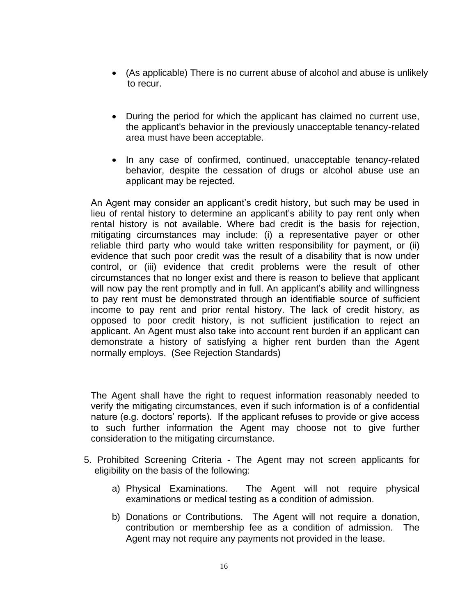- (As applicable) There is no current abuse of alcohol and abuse is unlikely to recur.
- During the period for which the applicant has claimed no current use, the applicant's behavior in the previously unacceptable tenancy-related area must have been acceptable.
- In any case of confirmed, continued, unacceptable tenancy-related behavior, despite the cessation of drugs or alcohol abuse use an applicant may be rejected.

An Agent may consider an applicant's credit history, but such may be used in lieu of rental history to determine an applicant's ability to pay rent only when rental history is not available. Where bad credit is the basis for rejection, mitigating circumstances may include: (i) a representative payer or other reliable third party who would take written responsibility for payment, or (ii) evidence that such poor credit was the result of a disability that is now under control, or (iii) evidence that credit problems were the result of other circumstances that no longer exist and there is reason to believe that applicant will now pay the rent promptly and in full. An applicant's ability and willingness to pay rent must be demonstrated through an identifiable source of sufficient income to pay rent and prior rental history. The lack of credit history, as opposed to poor credit history, is not sufficient justification to reject an applicant. An Agent must also take into account rent burden if an applicant can demonstrate a history of satisfying a higher rent burden than the Agent normally employs.(See Rejection Standards)

The Agent shall have the right to request information reasonably needed to verify the mitigating circumstances, even if such information is of a confidential nature (e.g. doctors' reports). If the applicant refuses to provide or give access to such further information the Agent may choose not to give further consideration to the mitigating circumstance.

- 5. Prohibited Screening Criteria The Agent may not screen applicants for eligibility on the basis of the following:
	- a) Physical Examinations. The Agent will not require physical examinations or medical testing as a condition of admission.
	- b) Donations or Contributions. The Agent will not require a donation, contribution or membership fee as a condition of admission. The Agent may not require any payments not provided in the lease.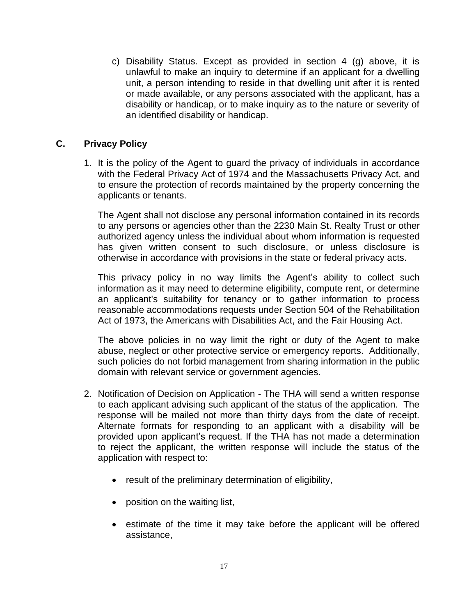c) Disability Status. Except as provided in section 4 (g) above, it is unlawful to make an inquiry to determine if an applicant for a dwelling unit, a person intending to reside in that dwelling unit after it is rented or made available, or any persons associated with the applicant, has a disability or handicap, or to make inquiry as to the nature or severity of an identified disability or handicap.

## **C. Privacy Policy**

1. It is the policy of the Agent to guard the privacy of individuals in accordance with the Federal Privacy Act of 1974 and the Massachusetts Privacy Act, and to ensure the protection of records maintained by the property concerning the applicants or tenants.

The Agent shall not disclose any personal information contained in its records to any persons or agencies other than the 2230 Main St. Realty Trust or other authorized agency unless the individual about whom information is requested has given written consent to such disclosure, or unless disclosure is otherwise in accordance with provisions in the state or federal privacy acts.

This privacy policy in no way limits the Agent's ability to collect such information as it may need to determine eligibility, compute rent, or determine an applicant's suitability for tenancy or to gather information to process reasonable accommodations requests under Section 504 of the Rehabilitation Act of 1973, the Americans with Disabilities Act, and the Fair Housing Act.

The above policies in no way limit the right or duty of the Agent to make abuse, neglect or other protective service or emergency reports. Additionally, such policies do not forbid management from sharing information in the public domain with relevant service or government agencies.

- 2. Notification of Decision on Application The THA will send a written response to each applicant advising such applicant of the status of the application. The response will be mailed not more than thirty days from the date of receipt. Alternate formats for responding to an applicant with a disability will be provided upon applicant's request. If the THA has not made a determination to reject the applicant, the written response will include the status of the application with respect to:
	- result of the preliminary determination of eligibility,
	- position on the waiting list,
	- estimate of the time it may take before the applicant will be offered assistance,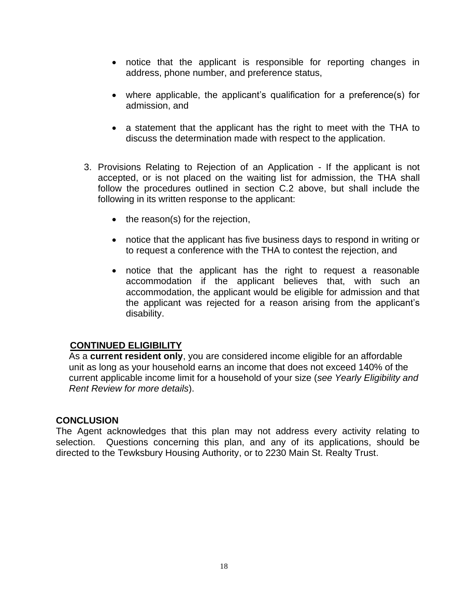- notice that the applicant is responsible for reporting changes in address, phone number, and preference status,
- where applicable, the applicant's qualification for a preference(s) for admission, and
- a statement that the applicant has the right to meet with the THA to discuss the determination made with respect to the application.
- 3. Provisions Relating to Rejection of an Application If the applicant is not accepted, or is not placed on the waiting list for admission, the THA shall follow the procedures outlined in section C.2 above, but shall include the following in its written response to the applicant:
	- the reason(s) for the rejection,
	- notice that the applicant has five business days to respond in writing or to request a conference with the THA to contest the rejection, and
	- notice that the applicant has the right to request a reasonable accommodation if the applicant believes that, with such an accommodation, the applicant would be eligible for admission and that the applicant was rejected for a reason arising from the applicant's disability.

# **CONTINUED ELIGIBILITY**

 As a **current resident only**, you are considered income eligible for an affordable unit as long as your household earns an income that does not exceed 140% of the current applicable income limit for a household of your size (*see Yearly Eligibility and Rent Review for more details*).

#### **CONCLUSION**

The Agent acknowledges that this plan may not address every activity relating to selection. Questions concerning this plan, and any of its applications, should be directed to the Tewksbury Housing Authority, or to 2230 Main St. Realty Trust.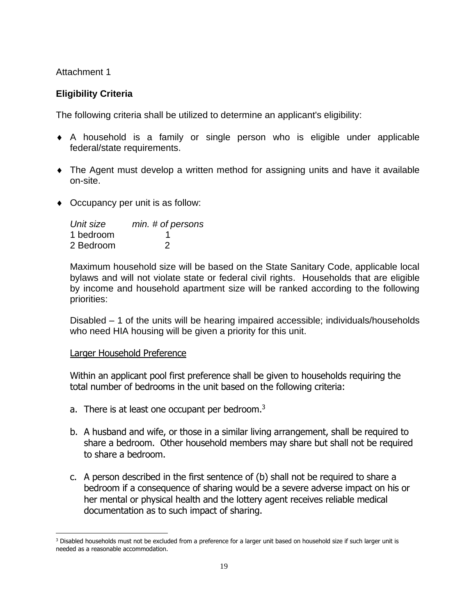#### Attachment 1

# **Eligibility Criteria**

The following criteria shall be utilized to determine an applicant's eligibility:

- A household is a family or single person who is eligible under applicable federal/state requirements.
- The Agent must develop a written method for assigning units and have it available on-site.
- Occupancy per unit is as follow:

| Unit size | min. # of persons |
|-----------|-------------------|
| 1 bedroom |                   |
| 2 Bedroom | 2                 |

Maximum household size will be based on the State Sanitary Code, applicable local bylaws and will not violate state or federal civil rights. Households that are eligible by income and household apartment size will be ranked according to the following priorities:

Disabled – 1 of the units will be hearing impaired accessible; individuals/households who need HIA housing will be given a priority for this unit.

#### Larger Household Preference

Within an applicant pool first preference shall be given to households requiring the total number of bedrooms in the unit based on the following criteria:

- a. There is at least one occupant per bedroom.<sup>3</sup>
- b. A husband and wife, or those in a similar living arrangement, shall be required to share a bedroom. Other household members may share but shall not be required to share a bedroom.
- c. A person described in the first sentence of (b) shall not be required to share a bedroom if a consequence of sharing would be a severe adverse impact on his or her mental or physical health and the lottery agent receives reliable medical documentation as to such impact of sharing.

<sup>&</sup>lt;sup>3</sup> Disabled households must not be excluded from a preference for a larger unit based on household size if such larger unit is needed as a reasonable accommodation.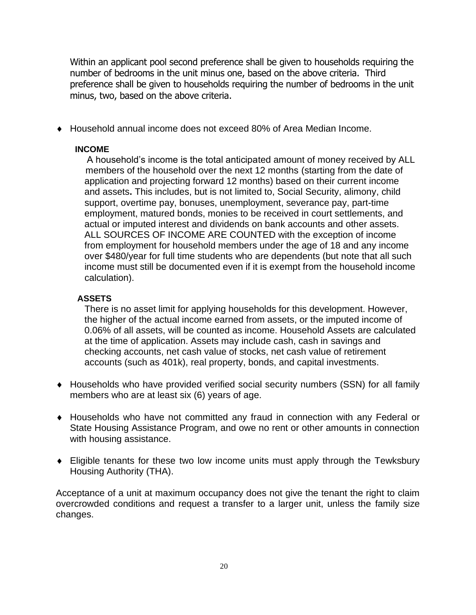Within an applicant pool second preference shall be given to households requiring the number of bedrooms in the unit minus one, based on the above criteria. Third preference shall be given to households requiring the number of bedrooms in the unit minus, two, based on the above criteria.

Household annual income does not exceed 80% of Area Median Income.

#### **INCOME**

A household's income is the total anticipated amount of money received by ALL members of the household over the next 12 months (starting from the date of application and projecting forward 12 months) based on their current income and assets**.** This includes, but is not limited to, Social Security, alimony, child support, overtime pay, bonuses, unemployment, severance pay, part-time employment, matured bonds, monies to be received in court settlements, and actual or imputed interest and dividends on bank accounts and other assets. ALL SOURCES OF INCOME ARE COUNTED with the exception of income from employment for household members under the age of 18 and any income over \$480/year for full time students who are dependents (but note that all such income must still be documented even if it is exempt from the household income calculation).

#### **ASSETS**

 There is no asset limit for applying households for this development. However, the higher of the actual income earned from assets, or the imputed income of 0.06% of all assets, will be counted as income. Household Assets are calculated at the time of application. Assets may include cash, cash in savings and checking accounts, net cash value of stocks, net cash value of retirement accounts (such as 401k), real property, bonds, and capital investments.

- Households who have provided verified social security numbers (SSN) for all family members who are at least six (6) years of age.
- Households who have not committed any fraud in connection with any Federal or State Housing Assistance Program, and owe no rent or other amounts in connection with housing assistance.
- Eligible tenants for these two low income units must apply through the Tewksbury Housing Authority (THA).

Acceptance of a unit at maximum occupancy does not give the tenant the right to claim overcrowded conditions and request a transfer to a larger unit, unless the family size changes.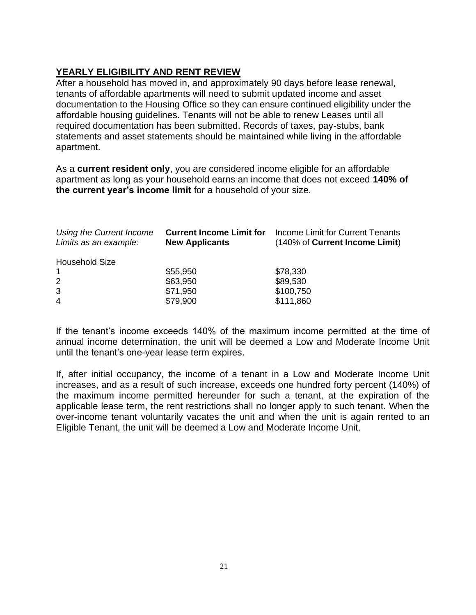# **YEARLY ELIGIBILITY AND RENT REVIEW**

After a household has moved in, and approximately 90 days before lease renewal, tenants of affordable apartments will need to submit updated income and asset documentation to the Housing Office so they can ensure continued eligibility under the affordable housing guidelines. Tenants will not be able to renew Leases until all required documentation has been submitted. Records of taxes, pay-stubs, bank statements and asset statements should be maintained while living in the affordable apartment.

As a **current resident only**, you are considered income eligible for an affordable apartment as long as your household earns an income that does not exceed **140% of the current year's income limit** for a household of your size.

| Using the Current Income<br>Limits as an example: | <b>Current Income Limit for</b><br><b>New Applicants</b> | Income Limit for Current Tenants<br>(140% of Current Income Limit) |
|---------------------------------------------------|----------------------------------------------------------|--------------------------------------------------------------------|
| <b>Household Size</b>                             |                                                          |                                                                    |
|                                                   | \$55,950                                                 | \$78,330                                                           |
| 2                                                 | \$63,950                                                 | \$89,530                                                           |
| 3                                                 | \$71,950                                                 | \$100,750                                                          |
| 4                                                 | \$79,900                                                 | \$111,860                                                          |

If the tenant's income exceeds 140% of the maximum income permitted at the time of annual income determination, the unit will be deemed a Low and Moderate Income Unit until the tenant's one-year lease term expires.

If, after initial occupancy, the income of a tenant in a Low and Moderate Income Unit increases, and as a result of such increase, exceeds one hundred forty percent (140%) of the maximum income permitted hereunder for such a tenant, at the expiration of the applicable lease term, the rent restrictions shall no longer apply to such tenant. When the over-income tenant voluntarily vacates the unit and when the unit is again rented to an Eligible Tenant, the unit will be deemed a Low and Moderate Income Unit.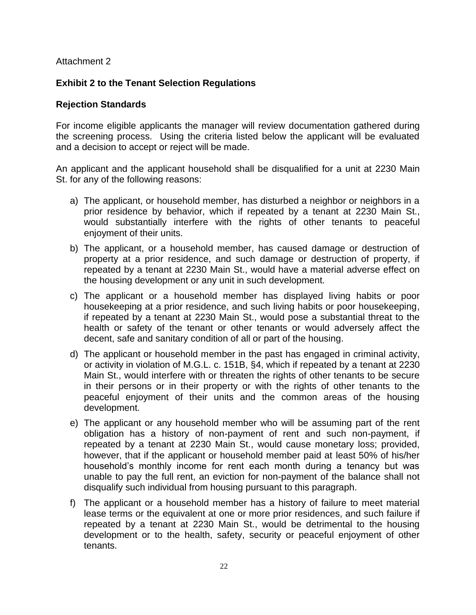Attachment 2

## **Exhibit 2 to the Tenant Selection Regulations**

#### **Rejection Standards**

For income eligible applicants the manager will review documentation gathered during the screening process. Using the criteria listed below the applicant will be evaluated and a decision to accept or reject will be made.

An applicant and the applicant household shall be disqualified for a unit at 2230 Main St. for any of the following reasons:

- a) The applicant, or household member, has disturbed a neighbor or neighbors in a prior residence by behavior, which if repeated by a tenant at 2230 Main St., would substantially interfere with the rights of other tenants to peaceful enjoyment of their units.
- b) The applicant, or a household member, has caused damage or destruction of property at a prior residence, and such damage or destruction of property, if repeated by a tenant at 2230 Main St., would have a material adverse effect on the housing development or any unit in such development.
- c) The applicant or a household member has displayed living habits or poor housekeeping at a prior residence, and such living habits or poor housekeeping, if repeated by a tenant at 2230 Main St., would pose a substantial threat to the health or safety of the tenant or other tenants or would adversely affect the decent, safe and sanitary condition of all or part of the housing.
- d) The applicant or household member in the past has engaged in criminal activity, or activity in violation of M.G.L. c. 151B, §4, which if repeated by a tenant at 2230 Main St., would interfere with or threaten the rights of other tenants to be secure in their persons or in their property or with the rights of other tenants to the peaceful enjoyment of their units and the common areas of the housing development.
- e) The applicant or any household member who will be assuming part of the rent obligation has a history of non-payment of rent and such non-payment, if repeated by a tenant at 2230 Main St., would cause monetary loss; provided, however, that if the applicant or household member paid at least 50% of his/her household's monthly income for rent each month during a tenancy but was unable to pay the full rent, an eviction for non-payment of the balance shall not disqualify such individual from housing pursuant to this paragraph.
- f) The applicant or a household member has a history of failure to meet material lease terms or the equivalent at one or more prior residences, and such failure if repeated by a tenant at 2230 Main St., would be detrimental to the housing development or to the health, safety, security or peaceful enjoyment of other tenants.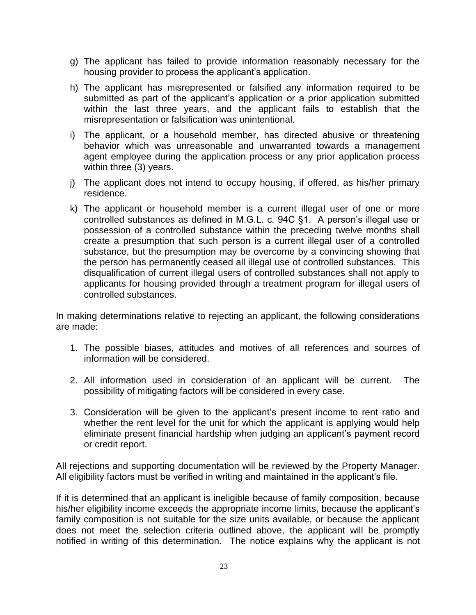- g) The applicant has failed to provide information reasonably necessary for the housing provider to process the applicant's application.
- h) The applicant has misrepresented or falsified any information required to be submitted as part of the applicant's application or a prior application submitted within the last three years, and the applicant fails to establish that the misrepresentation or falsification was unintentional.
- i) The applicant, or a household member, has directed abusive or threatening behavior which was unreasonable and unwarranted towards a management agent employee during the application process or any prior application process within three (3) years.
- j) The applicant does not intend to occupy housing, if offered, as his/her primary residence.
- k) The applicant or household member is a current illegal user of one or more controlled substances as defined in M.G.L. c. 94C §1. A person's illegal use or possession of a controlled substance within the preceding twelve months shall create a presumption that such person is a current illegal user of a controlled substance, but the presumption may be overcome by a convincing showing that the person has permanently ceased all illegal use of controlled substances. This disqualification of current illegal users of controlled substances shall not apply to applicants for housing provided through a treatment program for illegal users of controlled substances.

In making determinations relative to rejecting an applicant, the following considerations are made:

- 1. The possible biases, attitudes and motives of all references and sources of information will be considered.
- 2. All information used in consideration of an applicant will be current. The possibility of mitigating factors will be considered in every case.
- 3. Consideration will be given to the applicant's present income to rent ratio and whether the rent level for the unit for which the applicant is applying would help eliminate present financial hardship when judging an applicant's payment record or credit report.

All rejections and supporting documentation will be reviewed by the Property Manager. All eligibility factors must be verified in writing and maintained in the applicant's file.

If it is determined that an applicant is ineligible because of family composition, because his/her eligibility income exceeds the appropriate income limits, because the applicant's family composition is not suitable for the size units available, or because the applicant does not meet the selection criteria outlined above, the applicant will be promptly notified in writing of this determination. The notice explains why the applicant is not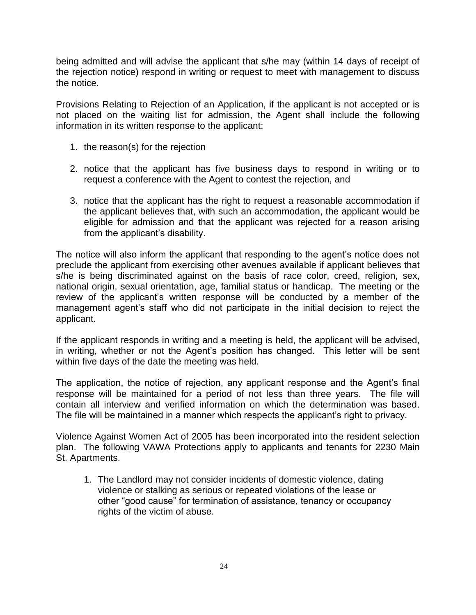being admitted and will advise the applicant that s/he may (within 14 days of receipt of the rejection notice) respond in writing or request to meet with management to discuss the notice.

Provisions Relating to Rejection of an Application, if the applicant is not accepted or is not placed on the waiting list for admission, the Agent shall include the following information in its written response to the applicant:

- 1. the reason(s) for the rejection
- 2. notice that the applicant has five business days to respond in writing or to request a conference with the Agent to contest the rejection, and
- 3. notice that the applicant has the right to request a reasonable accommodation if the applicant believes that, with such an accommodation, the applicant would be eligible for admission and that the applicant was rejected for a reason arising from the applicant's disability.

The notice will also inform the applicant that responding to the agent's notice does not preclude the applicant from exercising other avenues available if applicant believes that s/he is being discriminated against on the basis of race color, creed, religion, sex, national origin, sexual orientation, age, familial status or handicap. The meeting or the review of the applicant's written response will be conducted by a member of the management agent's staff who did not participate in the initial decision to reject the applicant.

If the applicant responds in writing and a meeting is held, the applicant will be advised, in writing, whether or not the Agent's position has changed. This letter will be sent within five days of the date the meeting was held.

The application, the notice of rejection, any applicant response and the Agent's final response will be maintained for a period of not less than three years. The file will contain all interview and verified information on which the determination was based. The file will be maintained in a manner which respects the applicant's right to privacy.

Violence Against Women Act of 2005 has been incorporated into the resident selection plan. The following VAWA Protections apply to applicants and tenants for 2230 Main St. Apartments.

1. The Landlord may not consider incidents of domestic violence, dating violence or stalking as serious or repeated violations of the lease or other "good cause" for termination of assistance, tenancy or occupancy rights of the victim of abuse.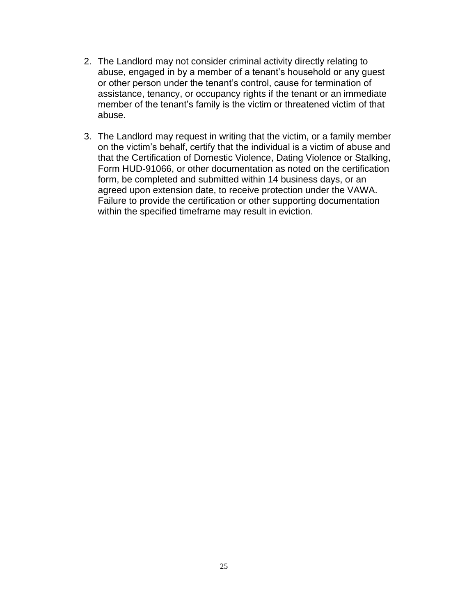- 2. The Landlord may not consider criminal activity directly relating to abuse, engaged in by a member of a tenant's household or any guest or other person under the tenant's control, cause for termination of assistance, tenancy, or occupancy rights if the tenant or an immediate member of the tenant's family is the victim or threatened victim of that abuse.
- 3. The Landlord may request in writing that the victim, or a family member on the victim's behalf, certify that the individual is a victim of abuse and that the Certification of Domestic Violence, Dating Violence or Stalking, Form HUD-91066, or other documentation as noted on the certification form, be completed and submitted within 14 business days, or an agreed upon extension date, to receive protection under the VAWA. Failure to provide the certification or other supporting documentation within the specified timeframe may result in eviction.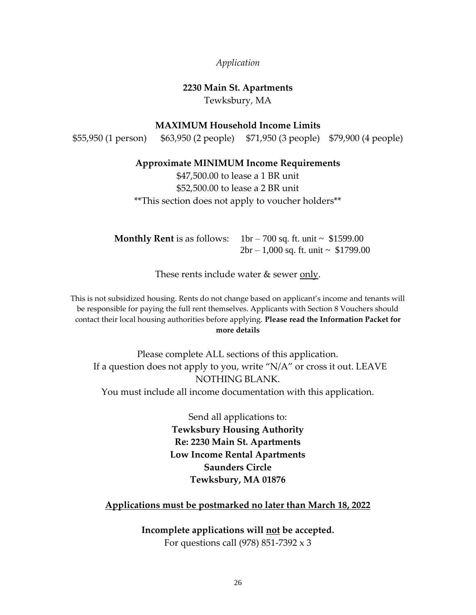#### *Application*

#### **2230 Main St. Apartments** Tewksbury, MA

#### **MAXIMUM Household Income Limits**

\$55,950 (1 person) \$63,950 (2 people) \$71,950 (3 people) \$79,900 (4 people)

#### **Approximate MINIMUM Income Requirements**

\$47,500.00 to lease a 1 BR unit \$52,500.00 to lease a 2 BR unit \*\*This section does not apply to voucher holders\*\*

**Monthly Rent** is as follows: 1br – 700 sq. ft. unit ~ \$1599.00  $2br - 1,000$  sq. ft. unit ~ \$1799.00

These rents include water & sewer <u>only</u>.

This is not subsidized housing. Rents do not change based on applicant's income and tenants will be responsible for paying the full rent themselves. Applicants with Section 8 Vouchers should contact their local housing authorities before applying. **Please read the Information Packet for more details**

Please complete ALL sections of this application. If a question does not apply to you, write "N/A" or cross it out. LEAVE NOTHING BLANK. You must include all income documentation with this application.

> Send all applications to: **Tewksbury Housing Authority Re: 2230 Main St. Apartments Low Income Rental Apartments Saunders Circle Tewksbury, MA 01876**

#### **Applications must be postmarked no later than March 18, 2022**

**Incomplete applications will not be accepted.** For questions call (978) 851-7392 x 3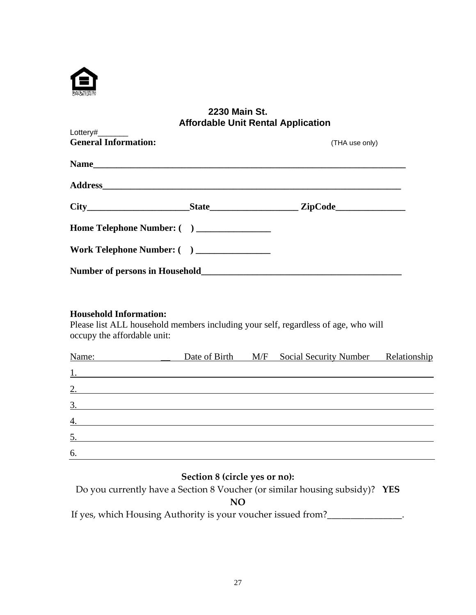

#### **2230 Main St. Affordable Unit Rental Application**

| Lottery#________                           |                |
|--------------------------------------------|----------------|
| <b>General Information:</b>                | (THA use only) |
|                                            |                |
|                                            |                |
|                                            |                |
| Home Telephone Number: ( ) _______________ |                |
| Work Telephone Number: () ________________ |                |
|                                            |                |

#### **Household Information:**

Please list ALL household members including your self, regardless of age, who will occupy the affordable unit:

| Name:            |  | Date of Birth M/F Social Security Number Relationship |  |
|------------------|--|-------------------------------------------------------|--|
| 1.               |  |                                                       |  |
| 2.               |  |                                                       |  |
| 3.               |  |                                                       |  |
| $\overline{4}$ . |  |                                                       |  |
| 5.               |  |                                                       |  |
| 6.               |  |                                                       |  |

# **Section 8 (circle yes or no):**

Do you currently have a Section 8 Voucher (or similar housing subsidy)? **YES** 

**NO**

If yes, which Housing Authority is your voucher issued from?\_\_\_\_\_\_\_\_\_\_\_\_\_\_\_\_.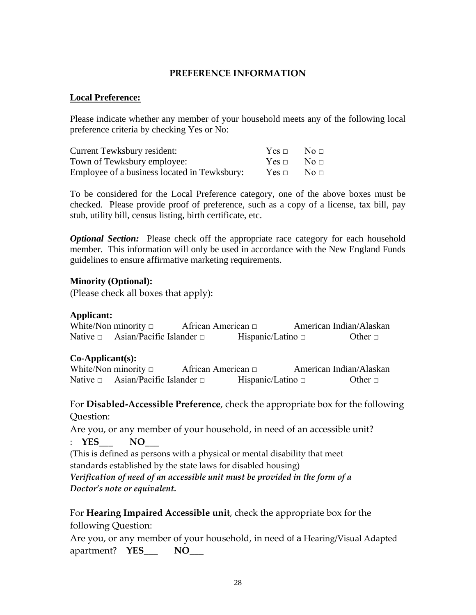## **PREFERENCE INFORMATION**

#### **Local Preference:**

Please indicate whether any member of your household meets any of the following local preference criteria by checking Yes or No:

| <b>Current Tewksbury resident:</b>           | $Yes \sqcap$ $No \sqcap$ |                     |
|----------------------------------------------|--------------------------|---------------------|
| Town of Tewksbury employee:                  | $Yes \Box$ No $\Box$     |                     |
| Employee of a business located in Tewksbury: | $Yes \sqcap$             | $\mathrm{No}\ \Box$ |

To be considered for the Local Preference category, one of the above boxes must be checked. Please provide proof of preference, such as a copy of a license, tax bill, pay stub, utility bill, census listing, birth certificate, etc.

*Optional Section:* Please check off the appropriate race category for each household member. This information will only be used in accordance with the New England Funds guidelines to ensure affirmative marketing requirements.

#### **Minority (Optional):**

(Please check all boxes that apply):

#### **Applicant:**

White/Non minority □ African American □ American Indian/Alaskan Native □ Asian/Pacific Islander □ Hispanic/Latino □ Other □

#### **Co-Applicant(s):**

White/Non minority  $\Box$  African American  $\Box$  American Indian/Alaskan Native □ Asian/Pacific Islander □ Hispanic/Latino □ Other □

For **Disabled-Accessible Preference**, check the appropriate box for the following Question:

Are you, or any member of your household, in need of an accessible unit?

: **YES\_\_\_ NO\_\_\_**

(This is defined as persons with a physical or mental disability that meet standards established by the state laws for disabled housing)

*Verification of need of an accessible unit must be provided in the form of a Doctor's note or equivalent.*

For **Hearing Impaired Accessible unit**, check the appropriate box for the following Question:

Are you, or any member of your household, in need of a Hearing/Visual Adapted apartment? **YES\_\_\_ NO\_\_\_**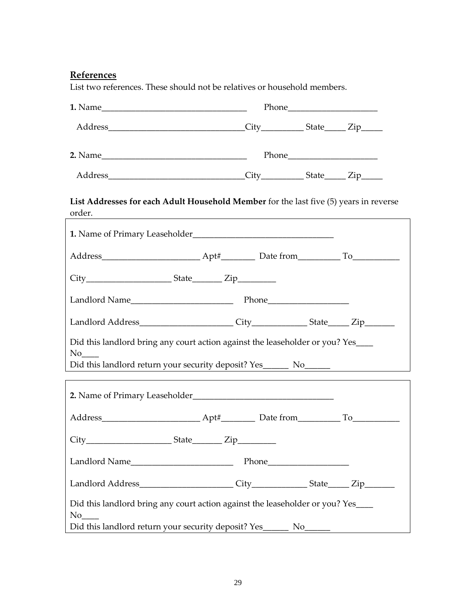# **References**

 $\mathsf{r}$ 

List two references. These should not be relatives or household members.

| 1. Name | Phone                          |       |                |  |
|---------|--------------------------------|-------|----------------|--|
| Address | $City$ <sub>____________</sub> | State | $\text{Zip}\_$ |  |
| 2. Name | Phone                          |       |                |  |
| Address | City                           | State | Zip            |  |

**List Addresses for each Adult Household Member** for the last five (5) years in reverse order.

 $\overline{\mathsf{I}}$ 

| Did this landlord bring any court action against the leaseholder or you? Yes____<br>Did this landlord return your security deposit? Yes_____________________________ |  |  |
|----------------------------------------------------------------------------------------------------------------------------------------------------------------------|--|--|
|                                                                                                                                                                      |  |  |
|                                                                                                                                                                      |  |  |
|                                                                                                                                                                      |  |  |
|                                                                                                                                                                      |  |  |
|                                                                                                                                                                      |  |  |
|                                                                                                                                                                      |  |  |
| Did this landlord bring any court action against the leaseholder or you? Yes<br>No.<br>Did this landlord return your security deposit? Yes_______ No_______          |  |  |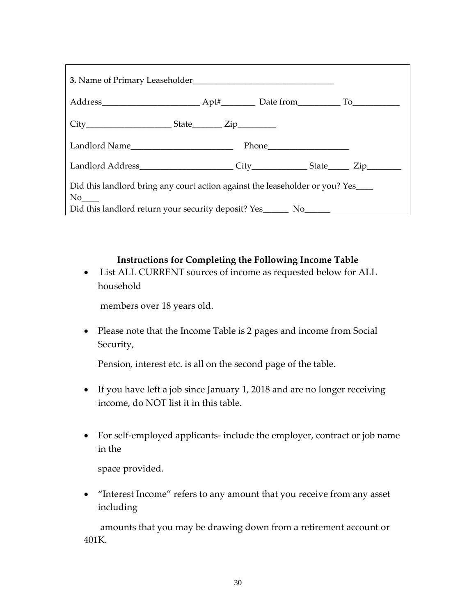| $City$ $City$ $State$ $Zip$                                                           |  |  |                                                                       |  |  |  |  |  |
|---------------------------------------------------------------------------------------|--|--|-----------------------------------------------------------------------|--|--|--|--|--|
|                                                                                       |  |  |                                                                       |  |  |  |  |  |
|                                                                                       |  |  |                                                                       |  |  |  |  |  |
| Did this landlord bring any court action against the leaseholder or you? Yes<br>No no |  |  |                                                                       |  |  |  |  |  |
|                                                                                       |  |  | Did this landlord return your security deposit? Yes________ No_______ |  |  |  |  |  |

# **Instructions for Completing the Following Income Table**

• List ALL CURRENT sources of income as requested below for ALL household

members over 18 years old.

• Please note that the Income Table is 2 pages and income from Social Security,

Pension, interest etc. is all on the second page of the table.

- If you have left a job since January 1, 2018 and are no longer receiving income, do NOT list it in this table.
- For self-employed applicants- include the employer, contract or job name in the

space provided.

• "Interest Income" refers to any amount that you receive from any asset including

 amounts that you may be drawing down from a retirement account or 401K.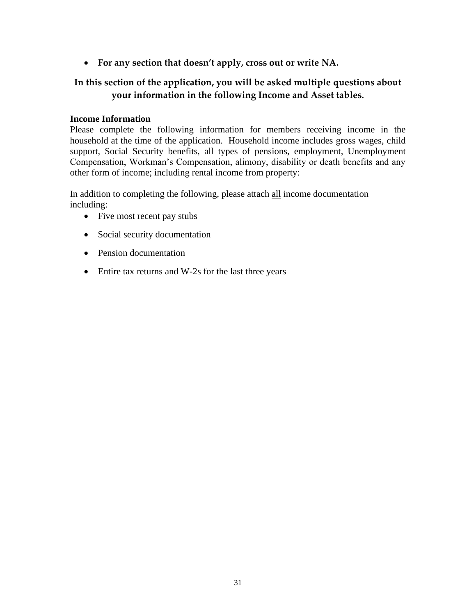• **For any section that doesn't apply, cross out or write NA.**

# **In this section of the application, you will be asked multiple questions about your information in the following Income and Asset tables.**

#### **Income Information**

Please complete the following information for members receiving income in the household at the time of the application. Household income includes gross wages, child support, Social Security benefits, all types of pensions, employment, Unemployment Compensation, Workman's Compensation, alimony, disability or death benefits and any other form of income; including rental income from property:

In addition to completing the following, please attach all income documentation including:

- Five most recent pay stubs
- Social security documentation
- Pension documentation
- Entire tax returns and W-2s for the last three years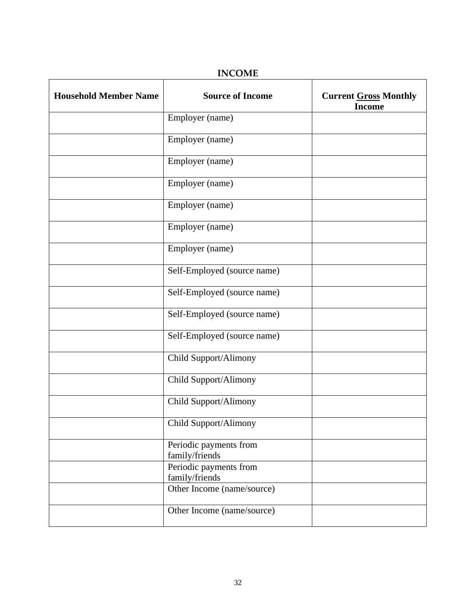## **INCOME**

| <b>Household Member Name</b> | <b>Source of Income</b>                  | <b>Current Gross Monthly</b><br><b>Income</b> |
|------------------------------|------------------------------------------|-----------------------------------------------|
|                              | Employer (name)                          |                                               |
|                              | Employer (name)                          |                                               |
|                              | Employer (name)                          |                                               |
|                              | Employer (name)                          |                                               |
|                              | Employer (name)                          |                                               |
|                              | Employer (name)                          |                                               |
|                              | Employer (name)                          |                                               |
|                              | Self-Employed (source name)              |                                               |
|                              | Self-Employed (source name)              |                                               |
|                              | Self-Employed (source name)              |                                               |
|                              | Self-Employed (source name)              |                                               |
|                              | Child Support/Alimony                    |                                               |
|                              | Child Support/Alimony                    |                                               |
|                              | Child Support/Alimony                    |                                               |
|                              | Child Support/Alimony                    |                                               |
|                              | Periodic payments from<br>family/friends |                                               |
|                              | Periodic payments from<br>family/friends |                                               |
|                              | Other Income (name/source)               |                                               |
|                              | Other Income (name/source)               |                                               |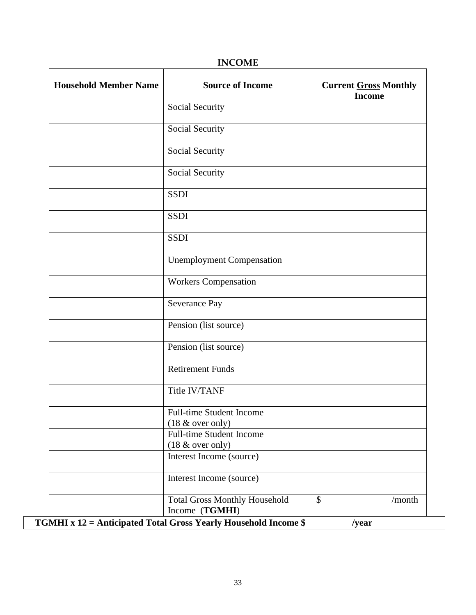# **INCOME**

| <b>Household Member Name</b> | <b>Source of Income</b>              | <b>Current Gross Monthly</b><br><b>Income</b> |
|------------------------------|--------------------------------------|-----------------------------------------------|
|                              | Social Security                      |                                               |
|                              | Social Security                      |                                               |
|                              | Social Security                      |                                               |
|                              | Social Security                      |                                               |
|                              | <b>SSDI</b>                          |                                               |
|                              | <b>SSDI</b>                          |                                               |
|                              | <b>SSDI</b>                          |                                               |
|                              | <b>Unemployment Compensation</b>     |                                               |
|                              | <b>Workers Compensation</b>          |                                               |
|                              | <b>Severance Pay</b>                 |                                               |
|                              | Pension (list source)                |                                               |
|                              | Pension (list source)                |                                               |
|                              | <b>Retirement Funds</b>              |                                               |
|                              | Title IV/TANF                        |                                               |
|                              | <b>Full-time Student Income</b>      |                                               |
|                              | $(18 \& over only)$                  |                                               |
|                              | <b>Full-time Student Income</b>      |                                               |
|                              | $(18 \& over only)$                  |                                               |
|                              | Interest Income (source)             |                                               |
|                              | Interest Income (source)             |                                               |
|                              | <b>Total Gross Monthly Household</b> | \$<br>/month                                  |
|                              | Income (TGMHI)                       |                                               |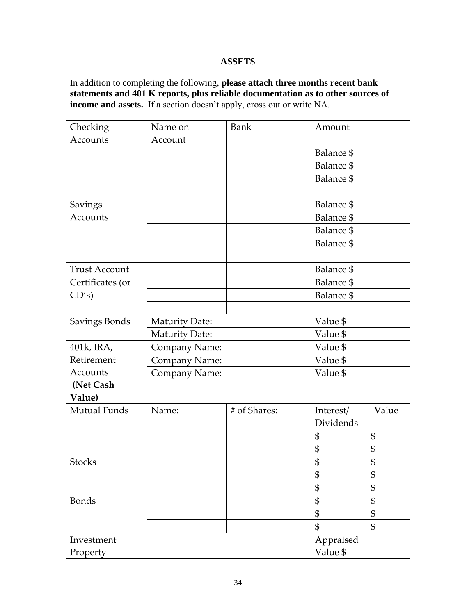## **ASSETS**

In addition to completing the following, **please attach three months recent bank statements and 401 K reports, plus reliable documentation as to other sources of income and assets.** If a section doesn't apply, cross out or write NA.

| Checking             | Name on<br><b>Bank</b> |              | Amount            |                           |
|----------------------|------------------------|--------------|-------------------|---------------------------|
| Accounts             | Account                |              |                   |                           |
|                      |                        |              | Balance \$        |                           |
|                      |                        |              | Balance \$        |                           |
|                      |                        |              | Balance \$        |                           |
|                      |                        |              |                   |                           |
| Savings              |                        |              | Balance \$        |                           |
| <b>Accounts</b>      |                        |              | Balance \$        |                           |
|                      |                        |              | <b>Balance \$</b> |                           |
|                      |                        |              | Balance \$        |                           |
|                      |                        |              |                   |                           |
| <b>Trust Account</b> |                        |              | Balance \$        |                           |
| Certificates (or     |                        |              | Balance \$        |                           |
| CD's)                |                        |              | <b>Balance</b> \$ |                           |
|                      |                        |              |                   |                           |
| Savings Bonds        | <b>Maturity Date:</b>  | Value \$     |                   |                           |
|                      | <b>Maturity Date:</b>  |              | Value \$          |                           |
| 401k, IRA,           | Company Name:          |              | Value \$          |                           |
| Retirement           | Company Name:          |              | Value \$          |                           |
| Accounts             | Company Name:          |              | Value \$          |                           |
| (Net Cash            |                        |              |                   |                           |
| Value)               |                        |              |                   |                           |
| <b>Mutual Funds</b>  | Name:                  | # of Shares: | Interest/         | Value                     |
|                      |                        |              | Dividends         |                           |
|                      |                        |              | \$                | \$                        |
|                      |                        |              | \$                | \$                        |
| <b>Stocks</b>        |                        |              | \$                | $\boldsymbol{\mathsf{S}}$ |
|                      |                        |              | \$                | \$                        |
|                      |                        |              | \$                | \$                        |
| <b>Bonds</b>         |                        |              | \$                | \$                        |
|                      |                        |              | \$                | \$                        |
|                      |                        |              | \$                | $\mathfrak{S}$            |
| Investment           |                        |              | Appraised         |                           |
| Property             |                        |              | Value \$          |                           |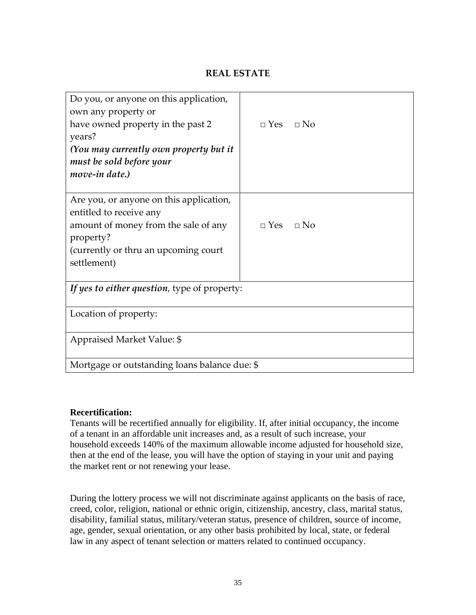# **REAL ESTATE**

| Do you, or anyone on this application,        |                      |  |
|-----------------------------------------------|----------------------|--|
| own any property or                           |                      |  |
| have owned property in the past 2             | $\Box$ Yes $\Box$ No |  |
| years?                                        |                      |  |
| (You may currently own property but it        |                      |  |
| must be sold before your                      |                      |  |
| move-in date.)                                |                      |  |
|                                               |                      |  |
| Are you, or anyone on this application,       |                      |  |
| entitled to receive any                       |                      |  |
| amount of money from the sale of any          | $\Box$ Yes $\Box$ No |  |
| property?                                     |                      |  |
| (currently or thru an upcoming court)         |                      |  |
| settlement)                                   |                      |  |
|                                               |                      |  |
| If yes to either question, type of property:  |                      |  |
|                                               |                      |  |
| Location of property:                         |                      |  |
|                                               |                      |  |
| Appraised Market Value: \$                    |                      |  |
|                                               |                      |  |
| Mortgage or outstanding loans balance due: \$ |                      |  |
|                                               |                      |  |

#### **Recertification:**

Tenants will be recertified annually for eligibility. If, after initial occupancy, the income of a tenant in an affordable unit increases and, as a result of such increase, your household exceeds 140% of the maximum allowable income adjusted for household size, then at the end of the lease, you will have the option of staying in your unit and paying the market rent or not renewing your lease.

During the lottery process we will not discriminate against applicants on the basis of race, creed, color, religion, national or ethnic origin, citizenship, ancestry, class, marital status, disability, familial status, military/veteran status, presence of children, source of income, age, gender, sexual orientation, or any other basis prohibited by local, state, or federal law in any aspect of tenant selection or matters related to continued occupancy.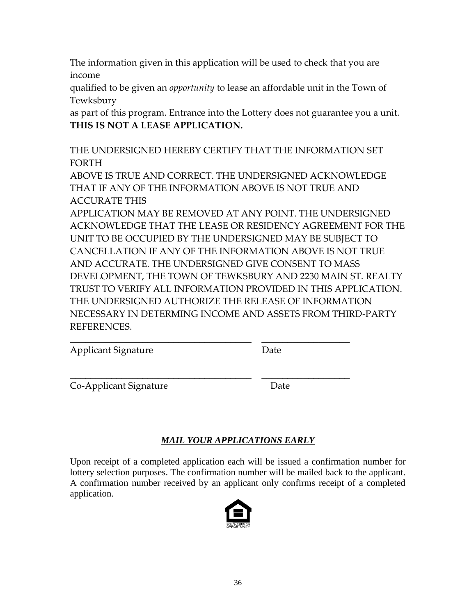The information given in this application will be used to check that you are income

qualified to be given an *opportunity* to lease an affordable unit in the Town of Tewksbury

as part of this program. Entrance into the Lottery does not guarantee you a unit. **THIS IS NOT A LEASE APPLICATION.**

THE UNDERSIGNED HEREBY CERTIFY THAT THE INFORMATION SET FORTH

ABOVE IS TRUE AND CORRECT. THE UNDERSIGNED ACKNOWLEDGE THAT IF ANY OF THE INFORMATION ABOVE IS NOT TRUE AND ACCURATE THIS

APPLICATION MAY BE REMOVED AT ANY POINT. THE UNDERSIGNED ACKNOWLEDGE THAT THE LEASE OR RESIDENCY AGREEMENT FOR THE UNIT TO BE OCCUPIED BY THE UNDERSIGNED MAY BE SUBJECT TO CANCELLATION IF ANY OF THE INFORMATION ABOVE IS NOT TRUE AND ACCURATE. THE UNDERSIGNED GIVE CONSENT TO MASS DEVELOPMENT, THE TOWN OF TEWKSBURY AND 2230 MAIN ST. REALTY TRUST TO VERIFY ALL INFORMATION PROVIDED IN THIS APPLICATION. THE UNDERSIGNED AUTHORIZE THE RELEASE OF INFORMATION NECESSARY IN DETERMING INCOME AND ASSETS FROM THIRD-PARTY REFERENCES.

\_\_\_\_\_\_\_\_\_\_\_\_\_\_\_\_\_\_\_\_\_\_\_\_\_\_\_\_\_\_\_\_\_\_\_ \_\_\_\_\_\_\_\_\_\_\_\_\_\_\_\_\_

\_\_\_\_\_\_\_\_\_\_\_\_\_\_\_\_\_\_\_\_\_\_\_\_\_\_\_\_\_\_\_\_\_\_\_ \_\_\_\_\_\_\_\_\_\_\_\_\_\_\_\_\_

Applicant Signature Date

Co-Applicant Signature Date

# *MAIL YOUR APPLICATIONS EARLY*

Upon receipt of a completed application each will be issued a confirmation number for lottery selection purposes. The confirmation number will be mailed back to the applicant. A confirmation number received by an applicant only confirms receipt of a completed application.